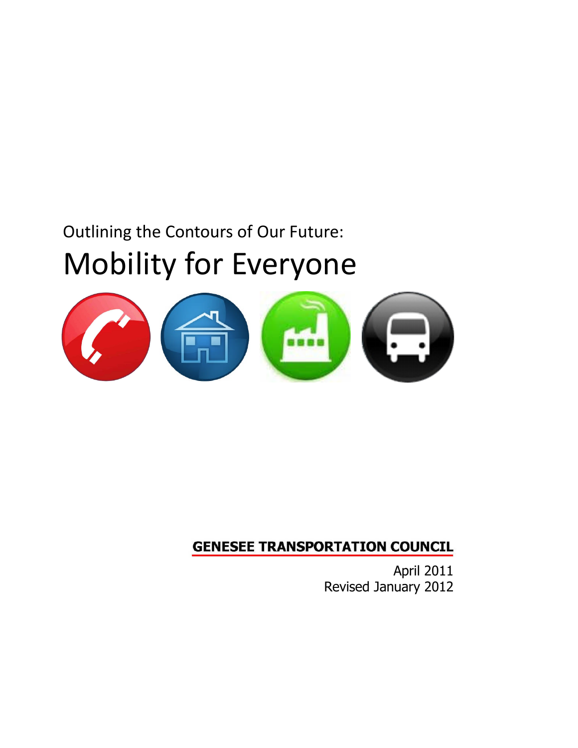# Outlining the Contours of Our Future: Mobility for Everyone



# **GENESEE TRANSPORTATION COUNCIL**

April 2011 Revised January 2012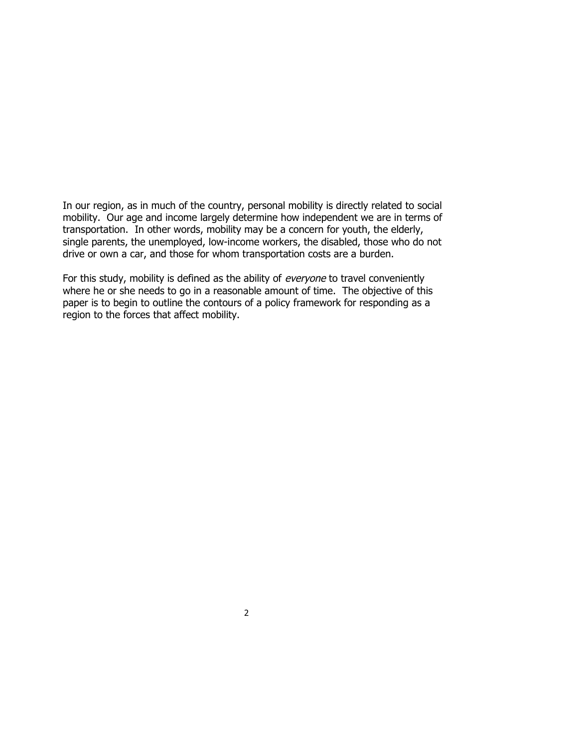In our region, as in much of the country, personal mobility is directly related to social mobility. Our age and income largely determine how independent we are in terms of transportation. In other words, mobility may be a concern for youth, the elderly, single parents, the unemployed, low-income workers, the disabled, those who do not drive or own a car, and those for whom transportation costs are a burden.

For this study, mobility is defined as the ability of everyone to travel conveniently where he or she needs to go in a reasonable amount of time. The objective of this paper is to begin to outline the contours of a policy framework for responding as a region to the forces that affect mobility.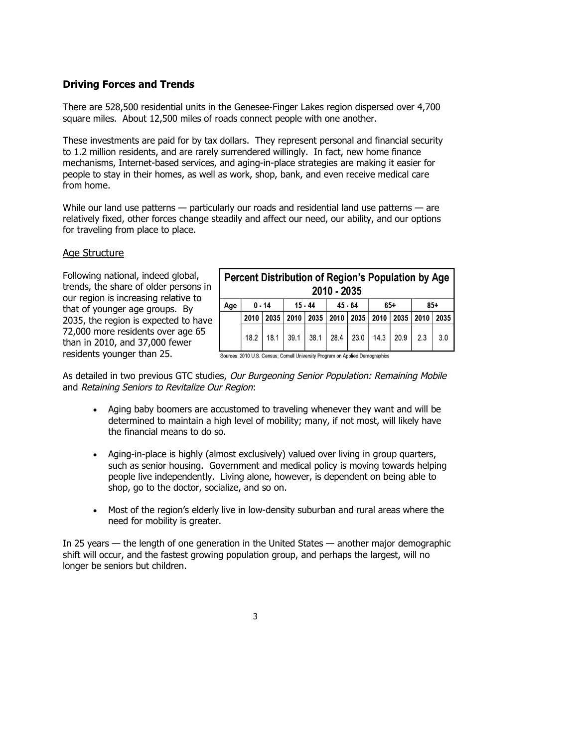# **Driving Forces and Trends**

There are 528,500 residential units in the Genesee-Finger Lakes region dispersed over 4,700 square miles. About 12,500 miles of roads connect people with one another.

These investments are paid for by tax dollars. They represent personal and financial security to 1.2 million residents, and are rarely surrendered willingly. In fact, new home finance mechanisms, Internet-based services, and aging-in-place strategies are making it easier for people to stay in their homes, as well as work, shop, bank, and even receive medical care from home.

While our land use patterns — particularly our roads and residential land use patterns — are relatively fixed, other forces change steadily and affect our need, our ability, and our options for traveling from place to place.

#### Age Structure

Following national, indeed global, trends, the share of older persons in our region is increasing relative to that of younger age groups. By 2035, the region is expected to have 72,000 more residents over age 65 than in 2010, and 37,000 fewer residents younger than 25.

| Percent Distribution of Region's Population by Age<br>2010 - 2035 |          |      |                                                |             |           |  |                                                |  |       |      |
|-------------------------------------------------------------------|----------|------|------------------------------------------------|-------------|-----------|--|------------------------------------------------|--|-------|------|
| Age                                                               | $0 - 14$ |      | $15 - 44$                                      |             | $45 - 64$ |  | $65+$                                          |  | $85+$ |      |
|                                                                   | 2010     |      | 2035   2010   2035   2010   2035   2010   2035 |             |           |  |                                                |  | 2010  | 2035 |
|                                                                   | 18.2     | 18.1 | 39.1                                           | $38.1$ 28.4 |           |  | $\vert$ 23.0 $\vert$ 14.3 $\vert$ 20.9 $\vert$ |  | 2.3   | 3.0  |

Sources: 2010 U.S. Census; Cornell University Program on Applied Demographics

As detailed in two previous GTC studies, Our Burgeoning Senior Population: Remaining Mobile and Retaining Seniors to Revitalize Our Region:

- Aging baby boomers are accustomed to traveling whenever they want and will be determined to maintain a high level of mobility; many, if not most, will likely have the financial means to do so.
- Aging-in-place is highly (almost exclusively) valued over living in group quarters, such as senior housing. Government and medical policy is moving towards helping people live independently. Living alone, however, is dependent on being able to shop, go to the doctor, socialize, and so on.
- Most of the region's elderly live in low-density suburban and rural areas where the need for mobility is greater.

In 25 years — the length of one generation in the United States — another major demographic shift will occur, and the fastest growing population group, and perhaps the largest, will no longer be seniors but children.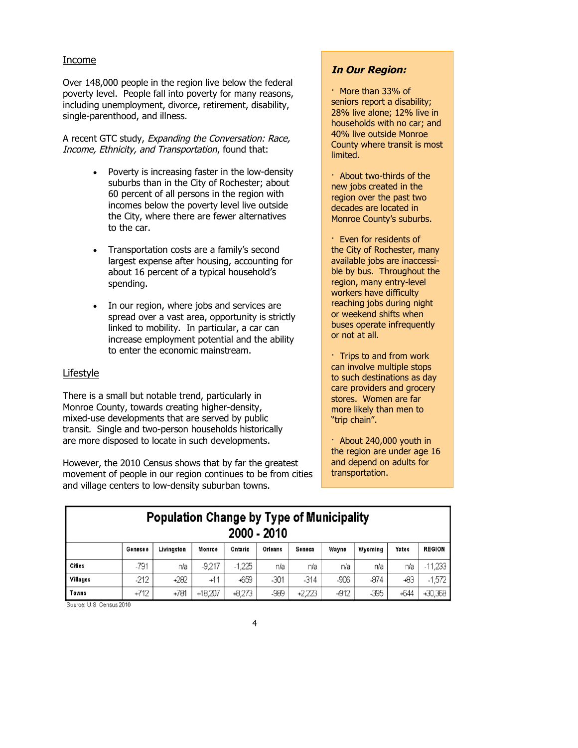#### Income

Over 148,000 people in the region live below the federal poverty level. People fall into poverty for many reasons, including unemployment, divorce, retirement, disability, single-parenthood, and illness.

A recent GTC study, Expanding the Conversation: Race, Income, Ethnicity, and Transportation, found that:

- Poverty is increasing faster in the low-density suburbs than in the City of Rochester; about 60 percent of all persons in the region with incomes below the poverty level live outside the City, where there are fewer alternatives to the car.
- Transportation costs are a family's second largest expense after housing, accounting for about 16 percent of a typical household's spending.
- In our region, where jobs and services are spread over a vast area, opportunity is strictly linked to mobility. In particular, a car can increase employment potential and the ability to enter the economic mainstream.

#### Lifestyle

There is a small but notable trend, particularly in Monroe County, towards creating higher-density, mixed-use developments that are served by public transit. Single and two-person households historically are more disposed to locate in such developments.

However, the 2010 Census shows that by far the greatest movement of people in our region continues to be from cities and village centers to low-density suburban towns.

# **In Our Region:**

- · More than 33% of seniors report a disability; 28% live alone; 12% live in households with no car; and 40% live outside Monroe County where transit is most limited.
- · About two-thirds of the new jobs created in the region over the past two decades are located in Monroe County's suburbs.
- · Even for residents of the City of Rochester, many available jobs are inaccessible by bus. Throughout the region, many entry-level workers have difficulty reaching jobs during night or weekend shifts when buses operate infrequently or not at all.

· Trips to and from work can involve multiple stops to such destinations as day care providers and grocery stores. Women are far more likely than men to "trip chain".

· About 240,000 youth in the region are under age 16 and depend on adults for transportation.

| <b>Population Change by Type of Municipality</b><br>2000 - 2010 |         |            |           |          |         |        |        |         |        |               |
|-----------------------------------------------------------------|---------|------------|-----------|----------|---------|--------|--------|---------|--------|---------------|
|                                                                 | Genesee | Livingston | Monroe    | Ontario  | Orleans | Seneca | Wayne  | Wyoming | Yates  | <b>REGION</b> |
| <b>Cities</b>                                                   | -791    | n/a        | $-9.217$  | $-1.225$ | nła     | nla    | nła    | nia     | n/a    | $-11,233$     |
| Villages                                                        | $-212$  | +282       | $+11$     | +659     | $-301$  | $-314$ | $-906$ | $-874$  | -83    | $-1,572$      |
| Towns                                                           | $+712$  | $+781$     | $+18,207$ | $+8,273$ | -989    | +2,223 | $+912$ | $-395$  | $+644$ | $+30,368$     |

Source: U.S. Census 2010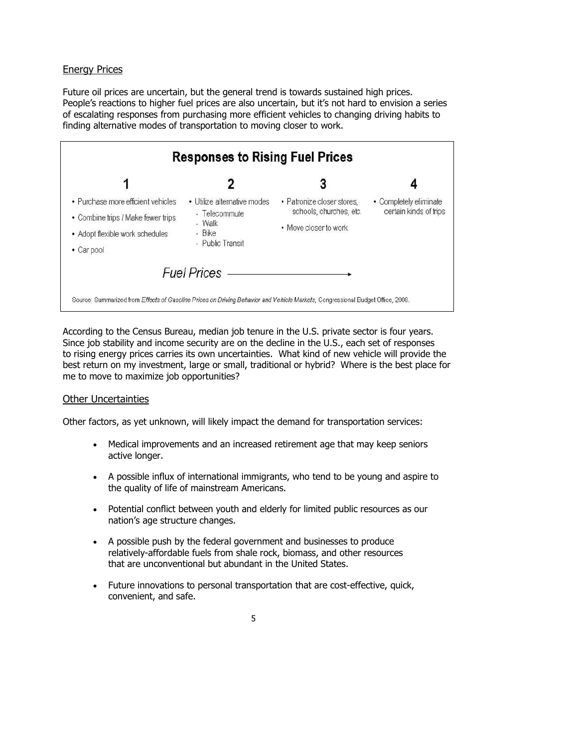# Energy Prices

Future oil prices are uncertain, but the general trend is towards sustained high prices. People's reactions to higher fuel prices are also uncertain, but it's not hard to envision a series of escalating responses from purchasing more efficient vehicles to changing driving habits to finding alternative modes of transportation to moving closer to work.

|                                    | <b>Responses to Rising Fuel Prices</b> |                            |                        |  |  |
|------------------------------------|----------------------------------------|----------------------------|------------------------|--|--|
| 1                                  |                                        | 3                          |                        |  |  |
| • Purchase more efficient vehicles | • Utilize alternative modes            | • Patronize closer stores. | • Completely eliminate |  |  |
| • Combine trips / Make fewer trips | - Telecommute<br>- Walk<br>- Bike      | schools, churches, etc.    | certain kinds of trips |  |  |
| • Adopt flexible work schedules    |                                        | • Move closer to work      |                        |  |  |
| • Car pool                         | - Public Transit                       |                            |                        |  |  |
|                                    | <b>Fuel Prices</b>                     |                            |                        |  |  |

According to the Census Bureau, median job tenure in the U.S. private sector is four years. Since job stability and income security are on the decline in the U.S., each set of responses to rising energy prices carries its own uncertainties. What kind of new vehicle will provide the best return on my investment, large or small, traditional or hybrid? Where is the best place for me to move to maximize job opportunities?

### Other Uncertainties

Other factors, as yet unknown, will likely impact the demand for transportation services:

- Medical improvements and an increased retirement age that may keep seniors active longer.
- A possible influx of international immigrants, who tend to be young and aspire to the quality of life of mainstream Americans.
- Potential conflict between youth and elderly for limited public resources as our nation's age structure changes.
- A possible push by the federal government and businesses to produce relatively-affordable fuels from shale rock, biomass, and other resources that are unconventional but abundant in the United States.
- Future innovations to personal transportation that are cost-effective, quick, convenient, and safe.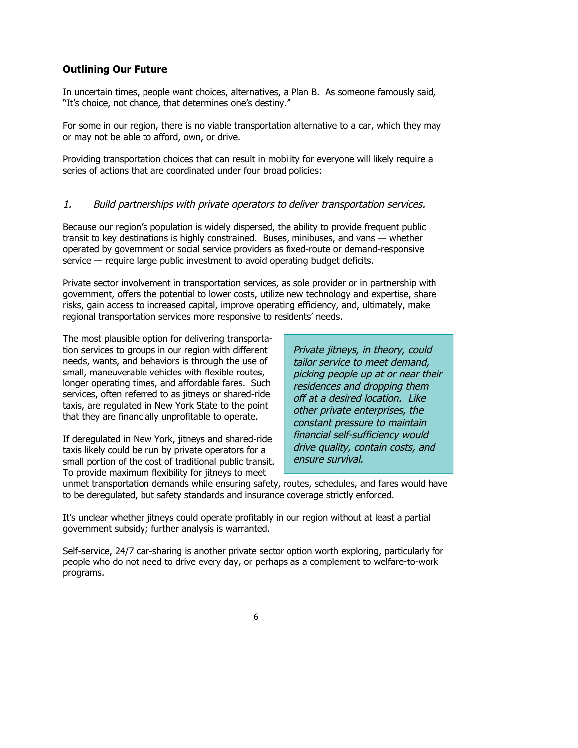# **Outlining Our Future**

In uncertain times, people want choices, alternatives, a Plan B. As someone famously said, "It's choice, not chance, that determines one's destiny."

For some in our region, there is no viable transportation alternative to a car, which they may or may not be able to afford, own, or drive.

Providing transportation choices that can result in mobility for everyone will likely require a series of actions that are coordinated under four broad policies:

### 1. Build partnerships with private operators to deliver transportation services.

Because our region's population is widely dispersed, the ability to provide frequent public transit to key destinations is highly constrained. Buses, minibuses, and vans — whether operated by government or social service providers as fixed-route or demand-responsive service — require large public investment to avoid operating budget deficits.

Private sector involvement in transportation services, as sole provider or in partnership with government, offers the potential to lower costs, utilize new technology and expertise, share risks, gain access to increased capital, improve operating efficiency, and, ultimately, make regional transportation services more responsive to residents' needs.

The most plausible option for delivering transportation services to groups in our region with different needs, wants, and behaviors is through the use of small, maneuverable vehicles with flexible routes, longer operating times, and affordable fares. Such services, often referred to as jitneys or shared-ride taxis, are regulated in New York State to the point that they are financially unprofitable to operate.

If deregulated in New York, jitneys and shared-ride taxis likely could be run by private operators for a small portion of the cost of traditional public transit. To provide maximum flexibility for jitneys to meet

Private jitneys, in theory, could tailor service to meet demand, picking people up at or near their residences and dropping them off at <sup>a</sup> desired location. Like other private enterprises, the constant pressure to maintain financial self-sufficiency would drive quality, contain costs, and ensure survival.

unmet transportation demands while ensuring safety, routes, schedules, and fares would have to be deregulated, but safety standards and insurance coverage strictly enforced.

It's unclear whether jitneys could operate profitably in our region without at least a partial government subsidy; further analysis is warranted.

Self-service, 24/7 car-sharing is another private sector option worth exploring, particularly for people who do not need to drive every day, or perhaps as a complement to welfare-to-work programs.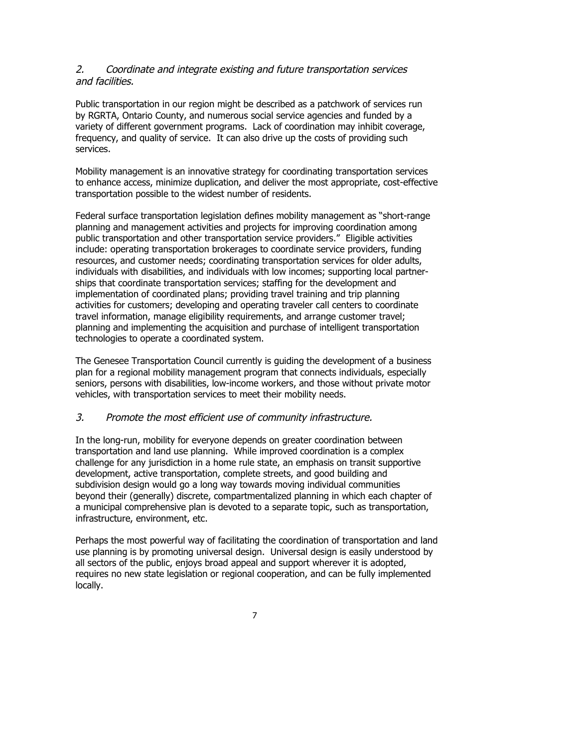### 2. Coordinate and integrate existing and future transportation services and facilities.

Public transportation in our region might be described as a patchwork of services run by RGRTA, Ontario County, and numerous social service agencies and funded by a variety of different government programs. Lack of coordination may inhibit coverage, frequency, and quality of service. It can also drive up the costs of providing such services.

Mobility management is an innovative strategy for coordinating transportation services to enhance access, minimize duplication, and deliver the most appropriate, cost-effective transportation possible to the widest number of residents.

Federal surface transportation legislation defines mobility management as "short-range planning and management activities and projects for improving coordination among public transportation and other transportation service providers." Eligible activities include: operating transportation brokerages to coordinate service providers, funding resources, and customer needs; coordinating transportation services for older adults, individuals with disabilities, and individuals with low incomes; supporting local partnerships that coordinate transportation services; staffing for the development and implementation of coordinated plans; providing travel training and trip planning activities for customers; developing and operating traveler call centers to coordinate travel information, manage eligibility requirements, and arrange customer travel; planning and implementing the acquisition and purchase of intelligent transportation technologies to operate a coordinated system.

The Genesee Transportation Council currently is guiding the development of a business plan for a regional mobility management program that connects individuals, especially seniors, persons with disabilities, low-income workers, and those without private motor vehicles, with transportation services to meet their mobility needs.

### 3. Promote the most efficient use of community infrastructure.

In the long-run, mobility for everyone depends on greater coordination between transportation and land use planning. While improved coordination is a complex challenge for any jurisdiction in a home rule state, an emphasis on transit supportive development, active transportation, complete streets, and good building and subdivision design would go a long way towards moving individual communities beyond their (generally) discrete, compartmentalized planning in which each chapter of a municipal comprehensive plan is devoted to a separate topic, such as transportation, infrastructure, environment, etc.

Perhaps the most powerful way of facilitating the coordination of transportation and land use planning is by promoting universal design. Universal design is easily understood by all sectors of the public, enjoys broad appeal and support wherever it is adopted, requires no new state legislation or regional cooperation, and can be fully implemented locally.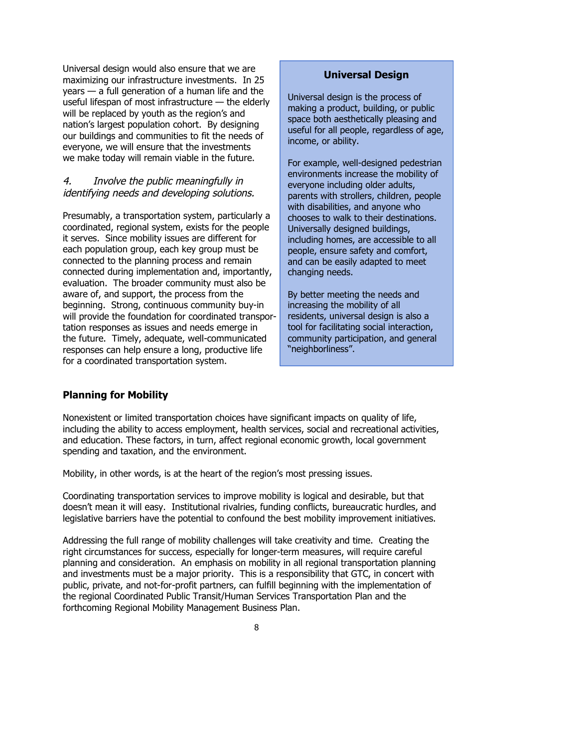Universal design would also ensure that we are maximizing our infrastructure investments. In 25 years — a full generation of a human life and the useful lifespan of most infrastructure — the elderly will be replaced by youth as the region's and nation's largest population cohort. By designing our buildings and communities to fit the needs of everyone, we will ensure that the investments we make today will remain viable in the future.

# 4. Involve the public meaningfully in identifying needs and developing solutions.

Presumably, a transportation system, particularly a coordinated, regional system, exists for the people it serves. Since mobility issues are different for each population group, each key group must be connected to the planning process and remain connected during implementation and, importantly, evaluation. The broader community must also be aware of, and support, the process from the beginning. Strong, continuous community buy-in will provide the foundation for coordinated transportation responses as issues and needs emerge in the future. Timely, adequate, well-communicated responses can help ensure a long, productive life for a coordinated transportation system.

### **Universal Design**

Universal design is the process of making a product, building, or public space both aesthetically pleasing and useful for all people, regardless of age, income, or ability.

For example, well-designed pedestrian environments increase the mobility of everyone including older adults, parents with strollers, children, people with disabilities, and anyone who chooses to walk to their destinations. Universally designed buildings, including homes, are accessible to all people, ensure safety and comfort, and can be easily adapted to meet changing needs.

By better meeting the needs and increasing the mobility of all residents, universal design is also a tool for facilitating social interaction, community participation, and general "neighborliness".

# **Planning for Mobility**

Nonexistent or limited transportation choices have significant impacts on quality of life, including the ability to access employment, health services, social and recreational activities, and education. These factors, in turn, affect regional economic growth, local government spending and taxation, and the environment.

Mobility, in other words, is at the heart of the region's most pressing issues.

Coordinating transportation services to improve mobility is logical and desirable, but that doesn't mean it will easy. Institutional rivalries, funding conflicts, bureaucratic hurdles, and legislative barriers have the potential to confound the best mobility improvement initiatives.

Addressing the full range of mobility challenges will take creativity and time. Creating the right circumstances for success, especially for longer-term measures, will require careful planning and consideration. An emphasis on mobility in all regional transportation planning and investments must be a major priority. This is a responsibility that GTC, in concert with public, private, and not-for-profit partners, can fulfill beginning with the implementation of the regional Coordinated Public Transit/Human Services Transportation Plan and the forthcoming Regional Mobility Management Business Plan.